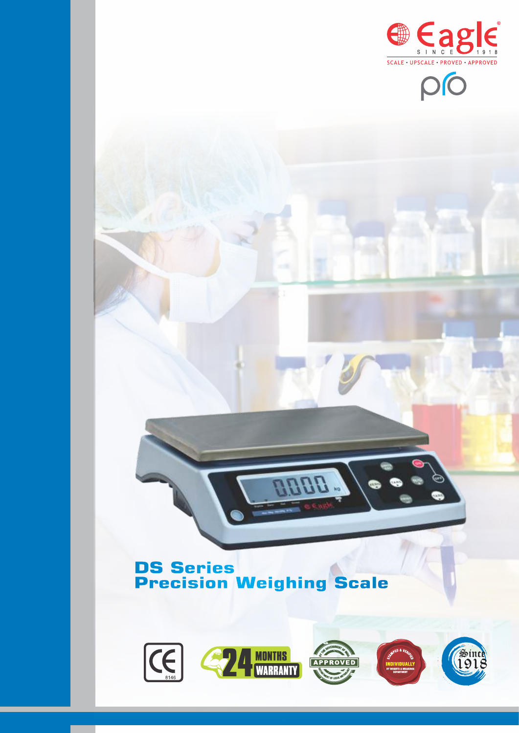



# **DS Series Precision Weighing Scale**



**BBBB**